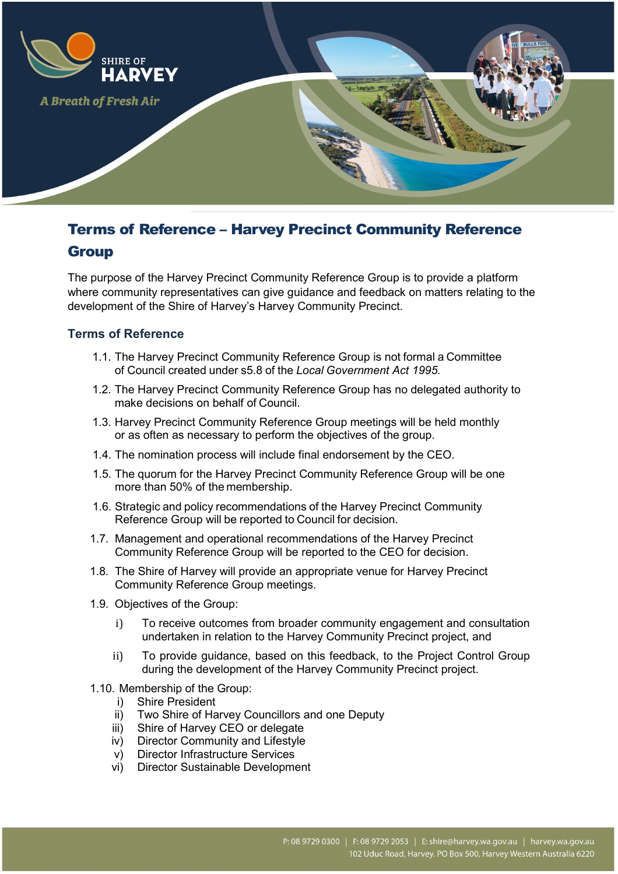

# Terms of Reference – Harvey Precinct Community Reference

# **Group**

The purpose of the Harvey Precinct Community Reference Group is to provide a platform where community representatives can give guidance and feedback on matters relating to the development of the Shire of Harvey's Harvey Community Precinct.

#### **Terms of Reference**

- 1.1. The Harvey Precinct Community Reference Group is not formal a Committee of Council created under s5.8 of the *Local Government Act 1995.*
- 1.2. The Harvey Precinct Community Reference Group has no delegated authority to make decisions on behalf of Council.
- 1.3. Harvey Precinct Community Reference Group meetings will be held monthly or as often as necessary to perform the objectives of the group.
- 1.4. The nomination process will include final endorsement by the CEO.
- 1.5. The quorum for the Harvey Precinct Community Reference Group will be one more than 50% of the membership.
- 1.6. Strategic and policy recommendations of the Harvey Precinct Community Reference Group will be reported to Council for decision.
- 1.7. Management and operational recommendations of the Harvey Precinct Community Reference Group will be reported to the CEO for decision.
- 1.8. The Shire of Harvey will provide an appropriate venue for Harvey Precinct Community Reference Group meetings.
- 1.9. Objectives of the Group:
	- i) To receive outcomes from broader community engagement and consultation undertaken in relation to the Harvey Community Precinct project, and
	- ii) To provide guidance, based on this feedback, to the Project Control Group during the development of the Harvey Community Precinct project.
- 1.10. Membership of the Group:
	- i) Shire President
	- ii) Two Shire of Harvey Councillors and one Deputy
	- iii) Shire of Harvey CEO or delegate
	- iv) Director Community and Lifestyle
	- v) Director Infrastructure Services
	- vi) Director Sustainable Development